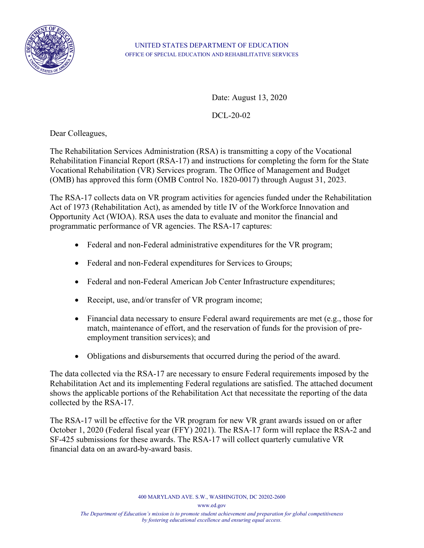

#### UNITED STATES DEPARTMENT OF EDUCATION OFFICE OF SPECIAL EDUCATION AND REHABILITATIVE SERVICES

Date: August 13, 2020

DCL-20-02

Dear Colleagues,

The Rehabilitation Services Administration (RSA) is transmitting a copy of the Vocational Rehabilitation Financial Report (RSA-17) and instructions for completing the form for the State Vocational Rehabilitation (VR) Services program. The Office of Management and Budget (OMB) has approved this form (OMB Control No. 1820-0017) through August 31, 2023.

The RSA-17 collects data on VR program activities for agencies funded under the Rehabilitation Act of 1973 (Rehabilitation Act), as amended by title IV of the Workforce Innovation and Opportunity Act (WIOA). RSA uses the data to evaluate and monitor the financial and programmatic performance of VR agencies. The RSA-17 captures:

- Federal and non-Federal administrative expenditures for the VR program;
- Federal and non-Federal expenditures for Services to Groups;
- Federal and non-Federal American Job Center Infrastructure expenditures;
- Receipt, use, and/or transfer of VR program income;
- Financial data necessary to ensure Federal award requirements are met (e.g., those for match, maintenance of effort, and the reservation of funds for the provision of preemployment transition services); and
- Obligations and disbursements that occurred during the period of the award.

The data collected via the RSA-17 are necessary to ensure Federal requirements imposed by the Rehabilitation Act and its implementing Federal regulations are satisfied. The attached document shows the applicable portions of the Rehabilitation Act that necessitate the reporting of the data collected by the RSA-17.

The RSA-17 will be effective for the VR program for new VR grant awards issued on or after October 1, 2020 (Federal fiscal year (FFY) 2021). The RSA-17 form will replace the RSA-2 and SF-425 submissions for these awards. The RSA-17 will collect quarterly cumulative VR financial data on an award-by-award basis.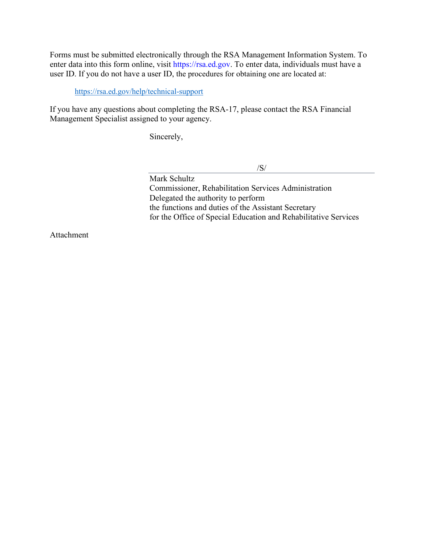Forms must be submitted electronically through the RSA Management Information System. To enter data into this form online, visit https://rsa.ed.gov. To enter data, individuals must have a user ID. If you do not have a user ID, the procedures for obtaining one are located at:

<https://rsa.ed.gov/help/technical-support>

If you have any questions about completing the RSA-17, please contact the RSA Financial Management Specialist assigned to your agency.

Sincerely,

/S/

Mark Schultz Commissioner, Rehabilitation Services Administration Delegated the authority to perform the functions and duties of the Assistant Secretary for the Office of Special Education and Rehabilitative Services

Attachment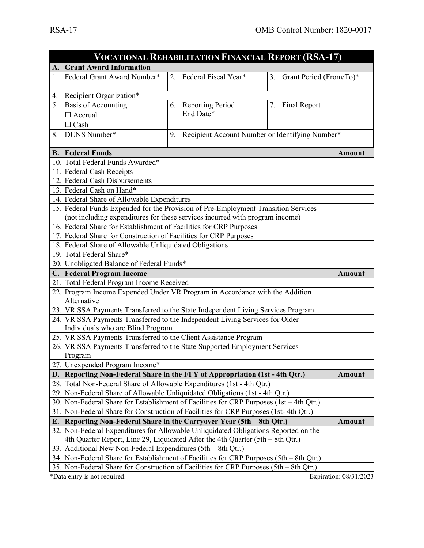|          |                                                                                                                                                |    | VOCATIONAL REHABILITATION FINANCIAL REPORT (RSA-17) |  |                            |               |
|----------|------------------------------------------------------------------------------------------------------------------------------------------------|----|-----------------------------------------------------|--|----------------------------|---------------|
|          | A. Grant Award Information                                                                                                                     |    |                                                     |  |                            |               |
|          | 1. Federal Grant Award Number*                                                                                                                 |    | 2. Federal Fiscal Year*                             |  | 3. Grant Period (From/To)* |               |
|          | Recipient Organization*                                                                                                                        |    |                                                     |  |                            |               |
| 4.<br>5. | Basis of Accounting                                                                                                                            | 6. |                                                     |  |                            |               |
|          | $\Box$ Accrual                                                                                                                                 |    | <b>Reporting Period</b><br>End Date*                |  | 7. Final Report            |               |
|          |                                                                                                                                                |    |                                                     |  |                            |               |
|          | $\Box$ Cash                                                                                                                                    |    |                                                     |  |                            |               |
|          | 8. DUNS Number*                                                                                                                                | 9. | Recipient Account Number or Identifying Number*     |  |                            |               |
|          | <b>B.</b> Federal Funds                                                                                                                        |    |                                                     |  |                            | <b>Amount</b> |
|          | 10. Total Federal Funds Awarded*                                                                                                               |    |                                                     |  |                            |               |
|          | 11. Federal Cash Receipts                                                                                                                      |    |                                                     |  |                            |               |
|          | 12. Federal Cash Disbursements                                                                                                                 |    |                                                     |  |                            |               |
|          | 13. Federal Cash on Hand*                                                                                                                      |    |                                                     |  |                            |               |
|          | 14. Federal Share of Allowable Expenditures                                                                                                    |    |                                                     |  |                            |               |
|          | 15. Federal Funds Expended for the Provision of Pre-Employment Transition Services                                                             |    |                                                     |  |                            |               |
|          | (not including expenditures for these services incurred with program income)                                                                   |    |                                                     |  |                            |               |
|          | 16. Federal Share for Establishment of Facilities for CRP Purposes                                                                             |    |                                                     |  |                            |               |
|          | 17. Federal Share for Construction of Facilities for CRP Purposes                                                                              |    |                                                     |  |                            |               |
|          | 18. Federal Share of Allowable Unliquidated Obligations                                                                                        |    |                                                     |  |                            |               |
|          | 19. Total Federal Share*                                                                                                                       |    |                                                     |  |                            |               |
|          | 20. Unobligated Balance of Federal Funds*                                                                                                      |    |                                                     |  |                            |               |
|          | C. Federal Program Income                                                                                                                      |    |                                                     |  |                            | <b>Amount</b> |
|          | 21. Total Federal Program Income Received                                                                                                      |    |                                                     |  |                            |               |
|          | 22. Program Income Expended Under VR Program in Accordance with the Addition                                                                   |    |                                                     |  |                            |               |
|          | Alternative                                                                                                                                    |    |                                                     |  |                            |               |
|          | 23. VR SSA Payments Transferred to the State Independent Living Services Program                                                               |    |                                                     |  |                            |               |
|          | 24. VR SSA Payments Transferred to the Independent Living Services for Older                                                                   |    |                                                     |  |                            |               |
|          | Individuals who are Blind Program                                                                                                              |    |                                                     |  |                            |               |
|          | 25. VR SSA Payments Transferred to the Client Assistance Program<br>26. VR SSA Payments Transferred to the State Supported Employment Services |    |                                                     |  |                            |               |
|          | Program                                                                                                                                        |    |                                                     |  |                            |               |
|          | 27. Unexpended Program Income*                                                                                                                 |    |                                                     |  |                            |               |
|          | D. Reporting Non-Federal Share in the FFY of Appropriation (1st - 4th Qtr.)                                                                    |    |                                                     |  |                            | <b>Amount</b> |
|          | 28. Total Non-Federal Share of Allowable Expenditures (1st - 4th Qtr.)                                                                         |    |                                                     |  |                            |               |
|          | 29. Non-Federal Share of Allowable Unliquidated Obligations (1st - 4th Qtr.)                                                                   |    |                                                     |  |                            |               |
|          | 30. Non-Federal Share for Establishment of Facilities for CRP Purposes (1st – 4th Qtr.)                                                        |    |                                                     |  |                            |               |
|          | 31. Non-Federal Share for Construction of Facilities for CRP Purposes (1st-4th Qtr.)                                                           |    |                                                     |  |                            |               |
| E.       | Reporting Non-Federal Share in the Carryover Year (5th - 8th Qtr.)                                                                             |    |                                                     |  |                            | <b>Amount</b> |
|          | 32. Non-Federal Expenditures for Allowable Unliquidated Obligations Reported on the                                                            |    |                                                     |  |                            |               |
|          | 4th Quarter Report, Line 29, Liquidated After the 4th Quarter (5th – 8th Qtr.)                                                                 |    |                                                     |  |                            |               |
|          | 33. Additional New Non-Federal Expenditures (5th – 8th Qtr.)                                                                                   |    |                                                     |  |                            |               |
|          |                                                                                                                                                |    |                                                     |  |                            |               |
|          | 34. Non-Federal Share for Establishment of Facilities for CRP Purposes (5th – 8th Qtr.)                                                        |    |                                                     |  |                            |               |

\*Data entry is not required. Expiration: 08/31/2023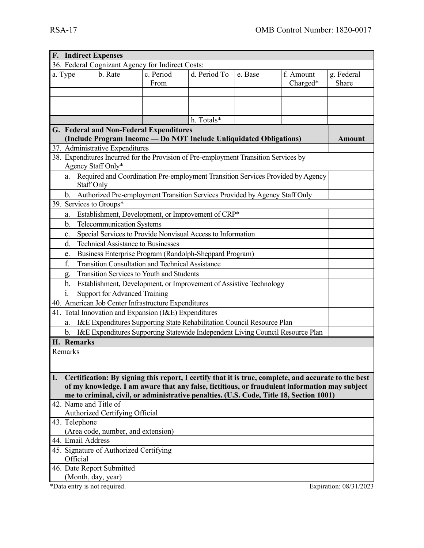|    | <b>F.</b> Indirect Expenses                                                                                                           |                                                         |                   |                                                                                |         |                                                                                                      |                     |
|----|---------------------------------------------------------------------------------------------------------------------------------------|---------------------------------------------------------|-------------------|--------------------------------------------------------------------------------|---------|------------------------------------------------------------------------------------------------------|---------------------|
|    |                                                                                                                                       | 36. Federal Cognizant Agency for Indirect Costs:        |                   |                                                                                |         |                                                                                                      |                     |
|    | a. Type                                                                                                                               | b. Rate                                                 | c. Period<br>From | d. Period To                                                                   | e. Base | f. Amount<br>Charged*                                                                                | g. Federal<br>Share |
|    |                                                                                                                                       |                                                         |                   |                                                                                |         |                                                                                                      |                     |
|    |                                                                                                                                       |                                                         |                   |                                                                                |         |                                                                                                      |                     |
|    |                                                                                                                                       |                                                         |                   |                                                                                |         |                                                                                                      |                     |
|    |                                                                                                                                       |                                                         |                   | h. Totals*                                                                     |         |                                                                                                      |                     |
|    |                                                                                                                                       | G. Federal and Non-Federal Expenditures                 |                   | (Include Program Income - Do NOT Include Unliquidated Obligations)             |         |                                                                                                      | <b>Amount</b>       |
|    |                                                                                                                                       | 37. Administrative Expenditures                         |                   |                                                                                |         |                                                                                                      |                     |
|    | 38. Expenditures Incurred for the Provision of Pre-employment Transition Services by<br>Agency Staff Only*                            |                                                         |                   |                                                                                |         |                                                                                                      |                     |
|    | a.<br>Staff Only                                                                                                                      |                                                         |                   |                                                                                |         | Required and Coordination Pre-employment Transition Services Provided by Agency                      |                     |
|    |                                                                                                                                       |                                                         |                   | b. Authorized Pre-employment Transition Services Provided by Agency Staff Only |         |                                                                                                      |                     |
|    | 39. Services to Groups*                                                                                                               |                                                         |                   |                                                                                |         |                                                                                                      |                     |
|    | a.                                                                                                                                    |                                                         |                   | Establishment, Development, or Improvement of CRP*                             |         |                                                                                                      |                     |
|    | b.                                                                                                                                    | Telecommunication Systems                               |                   |                                                                                |         |                                                                                                      |                     |
|    | $\mathbf{c}$ .                                                                                                                        |                                                         |                   | Special Services to Provide Nonvisual Access to Information                    |         |                                                                                                      |                     |
|    | d.                                                                                                                                    | <b>Technical Assistance to Businesses</b>               |                   |                                                                                |         |                                                                                                      |                     |
|    | e.                                                                                                                                    |                                                         |                   | Business Enterprise Program (Randolph-Sheppard Program)                        |         |                                                                                                      |                     |
|    | f.                                                                                                                                    | <b>Transition Consultation and Technical Assistance</b> |                   |                                                                                |         |                                                                                                      |                     |
|    | g.                                                                                                                                    | Transition Services to Youth and Students               |                   |                                                                                |         |                                                                                                      |                     |
|    | h.                                                                                                                                    |                                                         |                   | Establishment, Development, or Improvement of Assistive Technology             |         |                                                                                                      |                     |
|    | $\mathbf{i}$ .                                                                                                                        | <b>Support for Advanced Training</b>                    |                   |                                                                                |         |                                                                                                      |                     |
|    |                                                                                                                                       | 40. American Job Center Infrastructure Expenditures     |                   |                                                                                |         |                                                                                                      |                     |
|    |                                                                                                                                       |                                                         |                   |                                                                                |         |                                                                                                      |                     |
|    | 41. Total Innovation and Expansion (I&E) Expenditures<br>I&E Expenditures Supporting State Rehabilitation Council Resource Plan<br>a. |                                                         |                   |                                                                                |         |                                                                                                      |                     |
|    | I&E Expenditures Supporting Statewide Independent Living Council Resource Plan<br>b.                                                  |                                                         |                   |                                                                                |         |                                                                                                      |                     |
|    | H. Remarks                                                                                                                            |                                                         |                   |                                                                                |         |                                                                                                      |                     |
|    | Remarks                                                                                                                               |                                                         |                   |                                                                                |         |                                                                                                      |                     |
|    |                                                                                                                                       |                                                         |                   |                                                                                |         |                                                                                                      |                     |
| I. |                                                                                                                                       |                                                         |                   |                                                                                |         | Certification: By signing this report, I certify that it is true, complete, and accurate to the best |                     |
|    |                                                                                                                                       |                                                         |                   |                                                                                |         | of my knowledge. I am aware that any false, fictitious, or fraudulent information may subject        |                     |
|    |                                                                                                                                       |                                                         |                   |                                                                                |         | me to criminal, civil, or administrative penalties. (U.S. Code, Title 18, Section 1001)              |                     |
|    | 42. Name and Title of                                                                                                                 |                                                         |                   |                                                                                |         |                                                                                                      |                     |
|    |                                                                                                                                       | Authorized Certifying Official                          |                   |                                                                                |         |                                                                                                      |                     |
|    | 43. Telephone                                                                                                                         |                                                         |                   |                                                                                |         |                                                                                                      |                     |
|    |                                                                                                                                       | (Area code, number, and extension)                      |                   |                                                                                |         |                                                                                                      |                     |
|    | 44. Email Address                                                                                                                     |                                                         |                   |                                                                                |         |                                                                                                      |                     |
|    | Official                                                                                                                              | 45. Signature of Authorized Certifying                  |                   |                                                                                |         |                                                                                                      |                     |
|    |                                                                                                                                       | 46. Date Report Submitted                               |                   |                                                                                |         |                                                                                                      |                     |
|    | (Month, day, year)                                                                                                                    |                                                         |                   |                                                                                |         |                                                                                                      |                     |
|    | *Data entry is not required.<br>Expiration: 08/31/2023                                                                                |                                                         |                   |                                                                                |         |                                                                                                      |                     |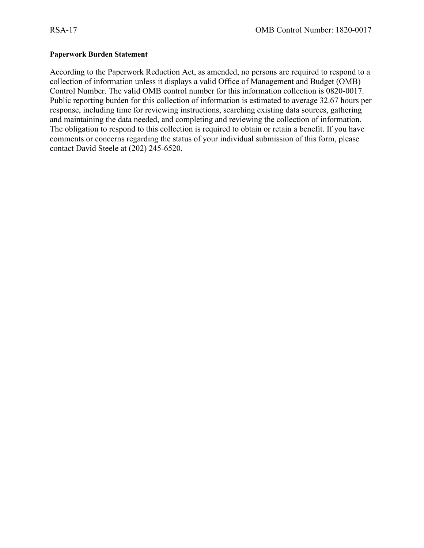#### **Paperwork Burden Statement**

According to the Paperwork Reduction Act, as amended, no persons are required to respond to a collection of information unless it displays a valid Office of Management and Budget (OMB) Control Number. The valid OMB control number for this information collection is 0820-0017. Public reporting burden for this collection of information is estimated to average 32.67 hours per response, including time for reviewing instructions, searching existing data sources, gathering and maintaining the data needed, and completing and reviewing the collection of information. The obligation to respond to this collection is required to obtain or retain a benefit. If you have comments or concerns regarding the status of your individual submission of this form, please contact David Steele at (202) 245-6520.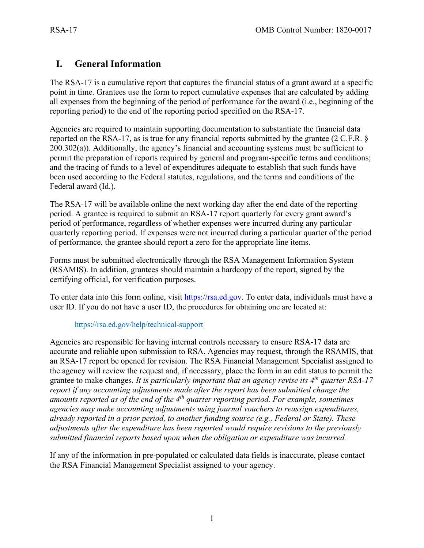# **I. General Information**

The RSA-17 is a cumulative report that captures the financial status of a grant award at a specific point in time. Grantees use the form to report cumulative expenses that are calculated by adding all expenses from the beginning of the period of performance for the award (i.e., beginning of the reporting period) to the end of the reporting period specified on the RSA-17.

Agencies are required to maintain supporting documentation to substantiate the financial data reported on the RSA-17, as is true for any financial reports submitted by the grantee (2 C.F.R. § 200.302(a)). Additionally, the agency's financial and accounting systems must be sufficient to permit the preparation of reports required by general and program-specific terms and conditions; and the tracing of funds to a level of expenditures adequate to establish that such funds have been used according to the Federal statutes, regulations, and the terms and conditions of the Federal award (Id.).

The RSA-17 will be available online the next working day after the end date of the reporting period. A grantee is required to submit an RSA-17 report quarterly for every grant award's period of performance, regardless of whether expenses were incurred during any particular quarterly reporting period. If expenses were not incurred during a particular quarter of the period of performance, the grantee should report a zero for the appropriate line items.

Forms must be submitted electronically through the RSA Management Information System (RSAMIS). In addition, grantees should maintain a hardcopy of the report, signed by the certifying official, for verification purposes.

To enter data into this form online, visit https://rsa.ed.gov. To enter data, individuals must have a user ID. If you do not have a user ID, the procedures for obtaining one are located at:

## <https://rsa.ed.gov/help/technical-support>

Agencies are responsible for having internal controls necessary to ensure RSA-17 data are accurate and reliable upon submission to RSA. Agencies may request, through the RSAMIS, that an RSA-17 report be opened for revision. The RSA Financial Management Specialist assigned to the agency will review the request and, if necessary, place the form in an edit status to permit the grantee to make changes. *It is particularly important that an agency revise its 4th quarter RSA-17 report if any accounting adjustments made after the report has been submitted change the amounts reported as of the end of the 4th quarter reporting period. For example, sometimes agencies may make accounting adjustments using journal vouchers to reassign expenditures, already reported in a prior period, to another funding source (e.g., Federal or State). These adjustments after the expenditure has been reported would require revisions to the previously submitted financial reports based upon when the obligation or expenditure was incurred.* 

If any of the information in pre-populated or calculated data fields is inaccurate, please contact the RSA Financial Management Specialist assigned to your agency.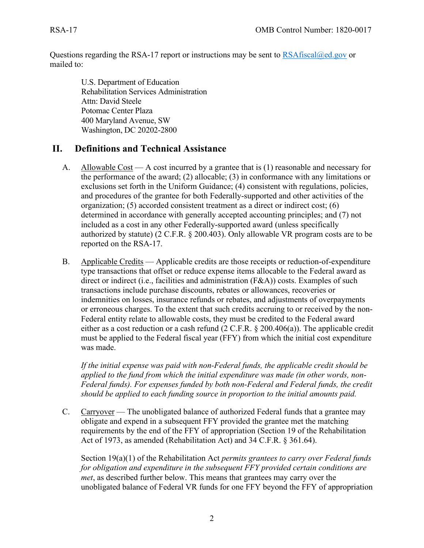Questions regarding the RSA-17 report or instructions may be sent to [RSAfiscal@ed.gov](mailto:RSAfiscal@ed.gov) or mailed to:

> U.S. Department of Education Rehabilitation Services Administration Attn: David Steele Potomac Center Plaza 400 Maryland Avenue, SW Washington, DC 20202-2800

## **II. Definitions and Technical Assistance**

- A. Allowable  $Cost A$  cost incurred by a grantee that is (1) reasonable and necessary for the performance of the award; (2) allocable; (3) in conformance with any limitations or exclusions set forth in the Uniform Guidance; (4) consistent with regulations, policies, and procedures of the grantee for both Federally-supported and other activities of the organization; (5) accorded consistent treatment as a direct or indirect cost; (6) determined in accordance with generally accepted accounting principles; and (7) not included as a cost in any other Federally-supported award (unless specifically authorized by statute) (2 C.F.R. § 200.403). Only allowable VR program costs are to be reported on the RSA-17.
- B. Applicable Credits Applicable credits are those receipts or reduction-of-expenditure type transactions that offset or reduce expense items allocable to the Federal award as direct or indirect (i.e., facilities and administration (F&A)) costs. Examples of such transactions include purchase discounts, rebates or allowances, recoveries or indemnities on losses, insurance refunds or rebates, and adjustments of overpayments or erroneous charges. To the extent that such credits accruing to or received by the non-Federal entity relate to allowable costs, they must be credited to the Federal award either as a cost reduction or a cash refund (2 C.F.R. § 200.406(a)). The applicable credit must be applied to the Federal fiscal year (FFY) from which the initial cost expenditure was made.

*If the initial expense was paid with non-Federal funds, the applicable credit should be applied to the fund from which the initial expenditure was made (in other words, non-Federal funds). For expenses funded by both non-Federal and Federal funds, the credit should be applied to each funding source in proportion to the initial amounts paid.* 

C. Carryover — The unobligated balance of authorized Federal funds that a grantee may obligate and expend in a subsequent FFY provided the grantee met the matching requirements by the end of the FFY of appropriation (Section 19 of the Rehabilitation Act of 1973, as amended (Rehabilitation Act) and 34 C.F.R. § 361.64).

Section 19(a)(1) of the Rehabilitation Act *permits grantees to carry over Federal funds for obligation and expenditure in the subsequent FFY provided certain conditions are met*, as described further below. This means that grantees may carry over the unobligated balance of Federal VR funds for one FFY beyond the FFY of appropriation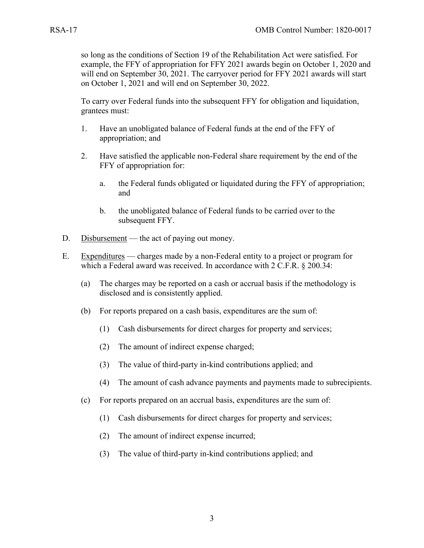so long as the conditions of Section 19 of the Rehabilitation Act were satisfied. For example, the FFY of appropriation for FFY 2021 awards begin on October 1, 2020 and will end on September 30, 2021. The carryover period for FFY 2021 awards will start on October 1, 2021 and will end on September 30, 2022.

To carry over Federal funds into the subsequent FFY for obligation and liquidation, grantees must:

- 1. Have an unobligated balance of Federal funds at the end of the FFY of appropriation; and
- 2. Have satisfied the applicable non-Federal share requirement by the end of the FFY of appropriation for:
	- a. the Federal funds obligated or liquidated during the FFY of appropriation; and
	- b. the unobligated balance of Federal funds to be carried over to the subsequent FFY.
- D. Disbursement the act of paying out money.
- E. Expenditures charges made by a non-Federal entity to a project or program for which a Federal award was received. In accordance with 2 C.F.R. § 200.34:
	- (a) The charges may be reported on a cash or accrual basis if the methodology is disclosed and is consistently applied.
	- (b) For reports prepared on a cash basis, expenditures are the sum of:
		- (1) Cash disbursements for direct charges for property and services;
		- (2) The amount of indirect expense charged;
		- (3) The value of third-party in-kind contributions applied; and
		- (4) The amount of cash advance payments and payments made to subrecipients.
	- (c) For reports prepared on an accrual basis, expenditures are the sum of:
		- (1) Cash disbursements for direct charges for property and services;
		- (2) The amount of indirect expense incurred;
		- (3) The value of third-party in-kind contributions applied; and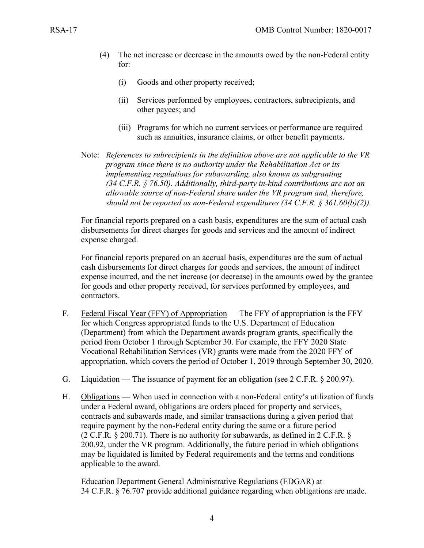- (4) The net increase or decrease in the amounts owed by the non-Federal entity for:
	- (i) Goods and other property received;
	- (ii) Services performed by employees, contractors, subrecipients, and other payees; and
	- (iii) Programs for which no current services or performance are required such as annuities, insurance claims, or other benefit payments.
- Note: *References to subrecipients in the definition above are not applicable to the VR program since there is no authority under the Rehabilitation Act or its implementing regulations for subawarding, also known as subgranting (34 C.F.R. § 76.50). Additionally, third-party in-kind contributions are not an allowable source of non-Federal share under the VR program and, therefore, should not be reported as non-Federal expenditures (34 C.F.R. § 361.60(b)(2)).*

For financial reports prepared on a cash basis, expenditures are the sum of actual cash disbursements for direct charges for goods and services and the amount of indirect expense charged.

For financial reports prepared on an accrual basis, expenditures are the sum of actual cash disbursements for direct charges for goods and services, the amount of indirect expense incurred, and the net increase (or decrease) in the amounts owed by the grantee for goods and other property received, for services performed by employees, and contractors.

- F. Federal Fiscal Year (FFY) of Appropriation The FFY of appropriation is the FFY for which Congress appropriated funds to the U.S. Department of Education (Department) from which the Department awards program grants, specifically the period from October 1 through September 30. For example, the FFY 2020 State Vocational Rehabilitation Services (VR) grants were made from the 2020 FFY of appropriation, which covers the period of October 1, 2019 through September 30, 2020.
- G. Liquidation The issuance of payment for an obligation (see 2 C.F.R. § 200.97).
- H. Obligations When used in connection with a non-Federal entity's utilization of funds under a Federal award, obligations are orders placed for property and services, contracts and subawards made, and similar transactions during a given period that require payment by the non-Federal entity during the same or a future period (2 C.F.R. § 200.71). There is no authority for subawards, as defined in 2 C.F.R. § 200.92, under the VR program. Additionally, the future period in which obligations may be liquidated is limited by Federal requirements and the terms and conditions applicable to the award.

Education Department General Administrative Regulations (EDGAR) at 34 C.F.R. § 76.707 provide additional guidance regarding when obligations are made.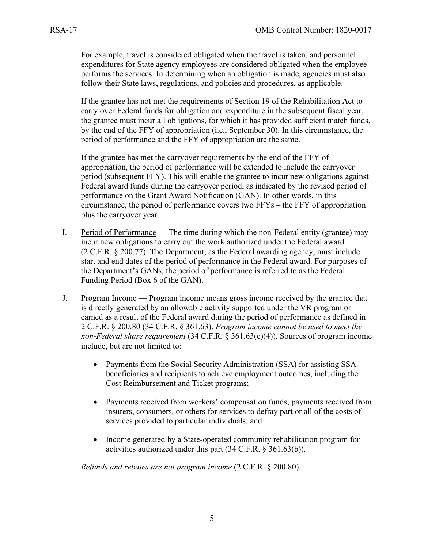For example, travel is considered obligated when the travel is taken, and personnel expenditures for State agency employees are considered obligated when the employee performs the services. In determining when an obligation is made, agencies must also follow their State laws, regulations, and policies and procedures, as applicable.

If the grantee has not met the requirements of Section 19 of the Rehabilitation Act to carry over Federal funds for obligation and expenditure in the subsequent fiscal year, the grantee must incur all obligations, for which it has provided sufficient match funds, by the end of the FFY of appropriation (i.e., September 30). In this circumstance, the period of performance and the FFY of appropriation are the same.

If the grantee has met the carryover requirements by the end of the FFY of appropriation, the period of performance will be extended to include the carryover period (subsequent FFY). This will enable the grantee to incur new obligations against Federal award funds during the carryover period, as indicated by the revised period of performance on the Grant Award Notification (GAN). In other words, in this circumstance, the period of performance covers two FFYs – the FFY of appropriation plus the carryover year.

- I. Period of Performance The time during which the non-Federal entity (grantee) may incur new obligations to carry out the work authorized under the Federal award (2 C.F.R. § 200.77). The Department, as the Federal awarding agency, must include start and end dates of the period of performance in the Federal award. For purposes of the Department's GANs, the period of performance is referred to as the Federal Funding Period (Box 6 of the GAN).
- J. Program Income Program income means gross income received by the grantee that is directly generated by an allowable activity supported under the VR program or earned as a result of the Federal award during the period of performance as defined in 2 C.F.R. § 200.80 (34 C.F.R. § 361.63). *Program income cannot be used to meet the non-Federal share requirement* (34 C.F.R. § 361.63(c)(4)). Sources of program income include, but are not limited to:
	- Payments from the Social Security Administration (SSA) for assisting SSA beneficiaries and recipients to achieve employment outcomes, including the Cost Reimbursement and Ticket programs;
	- Payments received from workers' compensation funds; payments received from insurers, consumers, or others for services to defray part or all of the costs of services provided to particular individuals; and
	- Income generated by a State-operated community rehabilitation program for activities authorized under this part (34 C.F.R. § 361.63(b)).

*Refunds and rebates are not program income* (2 C.F.R. § 200.80)*.*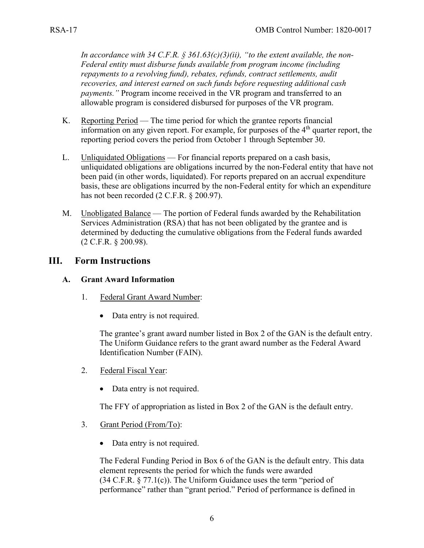*In accordance with 34 C.F.R. § 361.63(c)(3)(ii), "to the extent available, the non-Federal entity must disburse funds available from program income (including repayments to a revolving fund), rebates, refunds, contract settlements, audit recoveries, and interest earned on such funds before requesting additional cash payments."* Program income received in the VR program and transferred to an allowable program is considered disbursed for purposes of the VR program.

- K. Reporting Period The time period for which the grantee reports financial information on any given report. For example, for purposes of the  $4<sup>th</sup>$  quarter report, the reporting period covers the period from October 1 through September 30.
- L. Unliquidated Obligations For financial reports prepared on a cash basis, unliquidated obligations are obligations incurred by the non-Federal entity that have not been paid (in other words, liquidated). For reports prepared on an accrual expenditure basis, these are obligations incurred by the non-Federal entity for which an expenditure has not been recorded (2 C.F.R. § 200.97).
- M. Unobligated Balance The portion of Federal funds awarded by the Rehabilitation Services Administration (RSA) that has not been obligated by the grantee and is determined by deducting the cumulative obligations from the Federal funds awarded (2 C.F.R. § 200.98).

## **III. Form Instructions**

### **A. Grant Award Information**

- 1. Federal Grant Award Number:
	- Data entry is not required.

The grantee's grant award number listed in Box 2 of the GAN is the default entry. The Uniform Guidance refers to the grant award number as the Federal Award Identification Number (FAIN).

- 2. Federal Fiscal Year:
	- Data entry is not required.

The FFY of appropriation as listed in Box 2 of the GAN is the default entry.

- 3. Grant Period (From/To):
	- Data entry is not required.

The Federal Funding Period in Box 6 of the GAN is the default entry. This data element represents the period for which the funds were awarded (34 C.F.R. § 77.1(c)). The Uniform Guidance uses the term "period of performance" rather than "grant period." Period of performance is defined in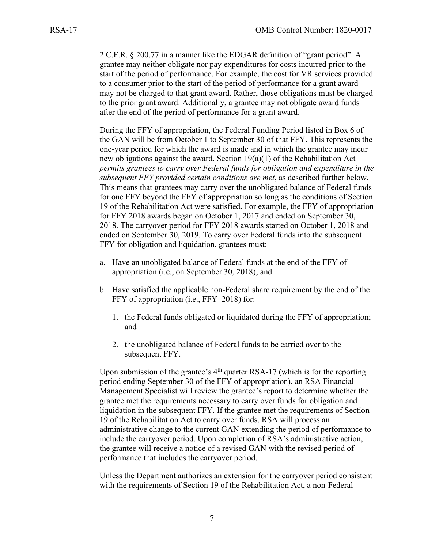2 C.F.R. § 200.77 in a manner like the EDGAR definition of "grant period". A grantee may neither obligate nor pay expenditures for costs incurred prior to the start of the period of performance. For example, the cost for VR services provided to a consumer prior to the start of the period of performance for a grant award may not be charged to that grant award. Rather, those obligations must be charged to the prior grant award. Additionally, a grantee may not obligate award funds after the end of the period of performance for a grant award.

During the FFY of appropriation, the Federal Funding Period listed in Box 6 of the GAN will be from October 1 to September 30 of that FFY. This represents the one-year period for which the award is made and in which the grantee may incur new obligations against the award. Section 19(a)(1) of the Rehabilitation Act *permits grantees to carry over Federal funds for obligation and expenditure in the subsequent FFY provided certain conditions are met*, as described further below. This means that grantees may carry over the unobligated balance of Federal funds for one FFY beyond the FFY of appropriation so long as the conditions of Section 19 of the Rehabilitation Act were satisfied. For example, the FFY of appropriation for FFY 2018 awards began on October 1, 2017 and ended on September 30, 2018. The carryover period for FFY 2018 awards started on October 1, 2018 and ended on September 30, 2019. To carry over Federal funds into the subsequent FFY for obligation and liquidation, grantees must:

- a. Have an unobligated balance of Federal funds at the end of the FFY of appropriation (i.e., on September 30, 2018); and
- b. Have satisfied the applicable non-Federal share requirement by the end of the FFY of appropriation (i.e., FFY 2018) for:
	- 1. the Federal funds obligated or liquidated during the FFY of appropriation; and
	- 2. the unobligated balance of Federal funds to be carried over to the subsequent FFY.

Upon submission of the grantee's  $4<sup>th</sup>$  quarter RSA-17 (which is for the reporting period ending September 30 of the FFY of appropriation), an RSA Financial Management Specialist will review the grantee's report to determine whether the grantee met the requirements necessary to carry over funds for obligation and liquidation in the subsequent FFY. If the grantee met the requirements of Section 19 of the Rehabilitation Act to carry over funds, RSA will process an administrative change to the current GAN extending the period of performance to include the carryover period. Upon completion of RSA's administrative action, the grantee will receive a notice of a revised GAN with the revised period of performance that includes the carryover period.

Unless the Department authorizes an extension for the carryover period consistent with the requirements of Section 19 of the Rehabilitation Act, a non-Federal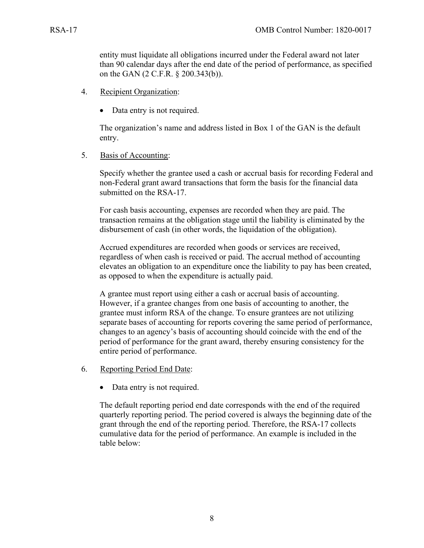entity must liquidate all obligations incurred under the Federal award not later than 90 calendar days after the end date of the period of performance, as specified on the GAN (2 C.F.R. § 200.343(b)).

- 4. Recipient Organization:
	- Data entry is not required.

The organization's name and address listed in Box 1 of the GAN is the default entry.

5. Basis of Accounting:

Specify whether the grantee used a cash or accrual basis for recording Federal and non-Federal grant award transactions that form the basis for the financial data submitted on the RSA-17.

For cash basis accounting, expenses are recorded when they are paid. The transaction remains at the obligation stage until the liability is eliminated by the disbursement of cash (in other words, the liquidation of the obligation).

Accrued expenditures are recorded when goods or services are received, regardless of when cash is received or paid. The accrual method of accounting elevates an obligation to an expenditure once the liability to pay has been created, as opposed to when the expenditure is actually paid.

A grantee must report using either a cash or accrual basis of accounting. However, if a grantee changes from one basis of accounting to another, the grantee must inform RSA of the change. To ensure grantees are not utilizing separate bases of accounting for reports covering the same period of performance, changes to an agency's basis of accounting should coincide with the end of the period of performance for the grant award, thereby ensuring consistency for the entire period of performance.

- 6. Reporting Period End Date:
	- Data entry is not required.

The default reporting period end date corresponds with the end of the required quarterly reporting period. The period covered is always the beginning date of the grant through the end of the reporting period. Therefore, the RSA-17 collects cumulative data for the period of performance. An example is included in the table below: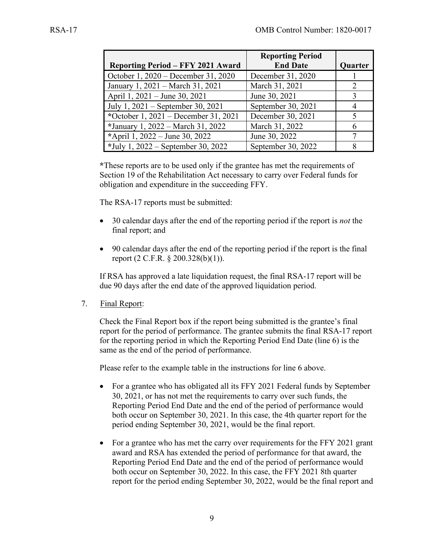| <b>Reporting Period - FFY 2021 Award</b> | <b>Reporting Period</b><br><b>End Date</b> | <b>Quarter</b> |
|------------------------------------------|--------------------------------------------|----------------|
| October 1, 2020 – December 31, 2020      | December 31, 2020                          |                |
| January 1, 2021 – March 31, 2021         | March 31, 2021                             |                |
| April 1, 2021 – June 30, 2021            | June 30, 2021                              |                |
| July 1, 2021 – September 30, 2021        | September 30, 2021                         |                |
| *October 1, 2021 – December 31, 2021     | December 30, 2021                          |                |
| *January 1, $2022 - March 31$ , $2022$   | March 31, 2022                             |                |
| *April 1, 2022 – June 30, 2022           | June 30, 2022                              |                |
| *July 1, $2022$ – September 30, 2022     | September 30, 2022                         |                |

**\***These reports are to be used only if the grantee has met the requirements of Section 19 of the Rehabilitation Act necessary to carry over Federal funds for obligation and expenditure in the succeeding FFY.

The RSA-17 reports must be submitted:

- 30 calendar days after the end of the reporting period if the report is *not* the final report; and
- 90 calendar days after the end of the reporting period if the report is the final report (2 C.F.R. § 200.328(b)(1)).

If RSA has approved a late liquidation request, the final RSA-17 report will be due 90 days after the end date of the approved liquidation period.

7. Final Report:

Check the Final Report box if the report being submitted is the grantee's final report for the period of performance. The grantee submits the final RSA-17 report for the reporting period in which the Reporting Period End Date (line 6) is the same as the end of the period of performance.

Please refer to the example table in the instructions for line 6 above.

- For a grantee who has obligated all its FFY 2021 Federal funds by September 30, 2021, or has not met the requirements to carry over such funds, the Reporting Period End Date and the end of the period of performance would both occur on September 30, 2021. In this case, the 4th quarter report for the period ending September 30, 2021, would be the final report.
- For a grantee who has met the carry over requirements for the FFY 2021 grant award and RSA has extended the period of performance for that award, the Reporting Period End Date and the end of the period of performance would both occur on September 30, 2022. In this case, the FFY 2021 8th quarter report for the period ending September 30, 2022, would be the final report and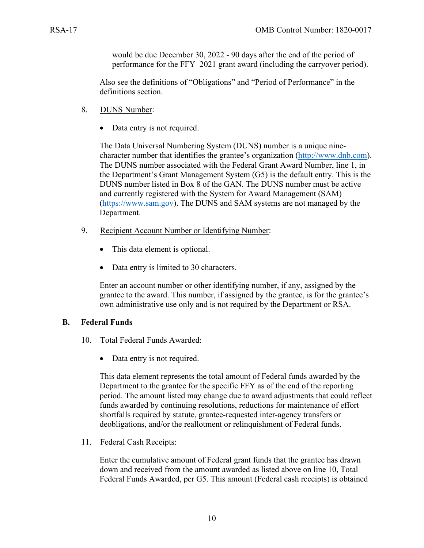would be due December 30, 2022 - 90 days after the end of the period of performance for the FFY 2021 grant award (including the carryover period).

Also see the definitions of "Obligations" and "Period of Performance" in the definitions section.

- 8. DUNS Number:
	- Data entry is not required.

The Data Universal Numbering System (DUNS) number is a unique ninecharacter number that identifies the grantee's organization [\(http://www.dnb.com\)](http://www.dnb.com/). The DUNS number associated with the Federal Grant Award Number, line 1, in the Department's Grant Management System (G5) is the default entry. This is the DUNS number listed in Box 8 of the GAN. The DUNS number must be active and currently registered with the System for Award Management (SAM) [\(https://www.sam.gov\)](https://www.sam.gov/). The DUNS and SAM systems are not managed by the Department.

- 9. Recipient Account Number or Identifying Number:
	- This data element is optional.
	- Data entry is limited to 30 characters.

Enter an account number or other identifying number, if any, assigned by the grantee to the award. This number, if assigned by the grantee, is for the grantee's own administrative use only and is not required by the Department or RSA.

#### **B. Federal Funds**

- 10. Total Federal Funds Awarded:
	- Data entry is not required.

This data element represents the total amount of Federal funds awarded by the Department to the grantee for the specific FFY as of the end of the reporting period. The amount listed may change due to award adjustments that could reflect funds awarded by continuing resolutions, reductions for maintenance of effort shortfalls required by statute, grantee-requested inter-agency transfers or deobligations, and/or the reallotment or relinquishment of Federal funds.

11. Federal Cash Receipts:

Enter the cumulative amount of Federal grant funds that the grantee has drawn down and received from the amount awarded as listed above on line 10, Total Federal Funds Awarded, per G5. This amount (Federal cash receipts) is obtained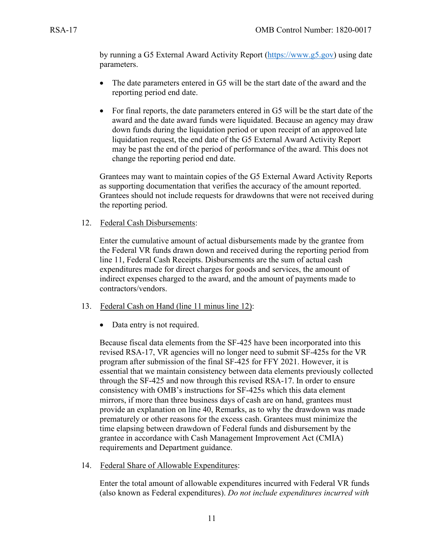by running a G5 External Award Activity Report [\(https://www.g5.gov\)](https://www.g5.gov/) using date parameters.

- The date parameters entered in G5 will be the start date of the award and the reporting period end date.
- For final reports, the date parameters entered in G5 will be the start date of the award and the date award funds were liquidated. Because an agency may draw down funds during the liquidation period or upon receipt of an approved late liquidation request, the end date of the G5 External Award Activity Report may be past the end of the period of performance of the award. This does not change the reporting period end date.

Grantees may want to maintain copies of the G5 External Award Activity Reports as supporting documentation that verifies the accuracy of the amount reported. Grantees should not include requests for drawdowns that were not received during the reporting period.

#### 12. Federal Cash Disbursements:

Enter the cumulative amount of actual disbursements made by the grantee from the Federal VR funds drawn down and received during the reporting period from line 11, Federal Cash Receipts. Disbursements are the sum of actual cash expenditures made for direct charges for goods and services, the amount of indirect expenses charged to the award, and the amount of payments made to contractors/vendors.

#### 13. Federal Cash on Hand (line 11 minus line 12):

• Data entry is not required.

Because fiscal data elements from the SF-425 have been incorporated into this revised RSA-17, VR agencies will no longer need to submit SF-425s for the VR program after submission of the final SF-425 for FFY 2021. However, it is essential that we maintain consistency between data elements previously collected through the SF-425 and now through this revised RSA-17. In order to ensure consistency with OMB's instructions for SF-425s which this data element mirrors, if more than three business days of cash are on hand, grantees must provide an explanation on line 40, Remarks, as to why the drawdown was made prematurely or other reasons for the excess cash. Grantees must minimize the time elapsing between drawdown of Federal funds and disbursement by the grantee in accordance with Cash Management Improvement Act (CMIA) requirements and Department guidance.

14. Federal Share of Allowable Expenditures:

Enter the total amount of allowable expenditures incurred with Federal VR funds (also known as Federal expenditures). *Do not include expenditures incurred with*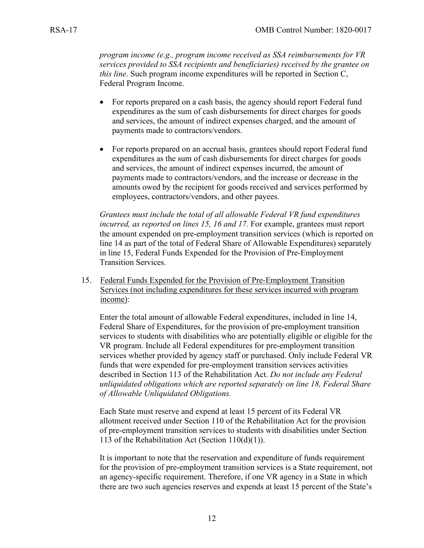*program income (e.g., program income received as SSA reimbursements for VR services provided to SSA recipients and beneficiaries) received by the grantee on this line*. Such program income expenditures will be reported in Section C, Federal Program Income.

- For reports prepared on a cash basis, the agency should report Federal fund expenditures as the sum of cash disbursements for direct charges for goods and services, the amount of indirect expenses charged, and the amount of payments made to contractors/vendors.
- For reports prepared on an accrual basis, grantees should report Federal fund expenditures as the sum of cash disbursements for direct charges for goods and services, the amount of indirect expenses incurred, the amount of payments made to contractors/vendors, and the increase or decrease in the amounts owed by the recipient for goods received and services performed by employees, contractors/vendors, and other payees.

*Grantees must include the total of all allowable Federal VR fund expenditures incurred, as reported on lines 15, 16 and 17.* For example, grantees must report the amount expended on pre-employment transition services (which is reported on line 14 as part of the total of Federal Share of Allowable Expenditures) separately in line 15, Federal Funds Expended for the Provision of Pre-Employment Transition Services.

15. Federal Funds Expended for the Provision of Pre-Employment Transition Services (not including expenditures for these services incurred with program income):

Enter the total amount of allowable Federal expenditures, included in line 14, Federal Share of Expenditures, for the provision of pre-employment transition services to students with disabilities who are potentially eligible or eligible for the VR program. Include all Federal expenditures for pre-employment transition services whether provided by agency staff or purchased. Only include Federal VR funds that were expended for pre-employment transition services activities described in Section 113 of the Rehabilitation Act. *Do not include any Federal unliquidated obligations which are reported separately on line 18, Federal Share of Allowable Unliquidated Obligations.*

Each State must reserve and expend at least 15 percent of its Federal VR allotment received under Section 110 of the Rehabilitation Act for the provision of pre-employment transition services to students with disabilities under Section 113 of the Rehabilitation Act (Section 110(d)(1)).

It is important to note that the reservation and expenditure of funds requirement for the provision of pre-employment transition services is a State requirement, not an agency-specific requirement. Therefore, if one VR agency in a State in which there are two such agencies reserves and expends at least 15 percent of the State's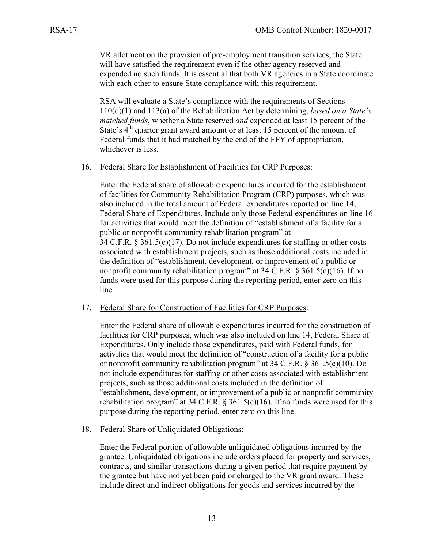VR allotment on the provision of pre-employment transition services, the State will have satisfied the requirement even if the other agency reserved and expended no such funds. It is essential that both VR agencies in a State coordinate with each other to ensure State compliance with this requirement.

RSA will evaluate a State's compliance with the requirements of Sections 110(d)(1) and 113(a) of the Rehabilitation Act by determining, *based on a State's matched funds*, whether a State reserved *and* expended at least 15 percent of the State's  $4<sup>th</sup>$  quarter grant award amount or at least 15 percent of the amount of Federal funds that it had matched by the end of the FFY of appropriation, whichever is less.

#### 16. Federal Share for Establishment of Facilities for CRP Purposes:

Enter the Federal share of allowable expenditures incurred for the establishment of facilities for Community Rehabilitation Program (CRP) purposes, which was also included in the total amount of Federal expenditures reported on line 14, Federal Share of Expenditures. Include only those Federal expenditures on line 16 for activities that would meet the definition of "establishment of a facility for a public or nonprofit community rehabilitation program" at 34 C.F.R.  $\S 361.5(c)(17)$ . Do not include expenditures for staffing or other costs associated with establishment projects, such as those additional costs included in the definition of "establishment, development, or improvement of a public or nonprofit community rehabilitation program" at  $34 \text{ C.F.R.}$  §  $361.5(c)(16)$ . If no funds were used for this purpose during the reporting period, enter zero on this line.

#### 17. Federal Share for Construction of Facilities for CRP Purposes:

Enter the Federal share of allowable expenditures incurred for the construction of facilities for CRP purposes, which was also included on line 14, Federal Share of Expenditures. Only include those expenditures, paid with Federal funds, for activities that would meet the definition of "construction of a facility for a public or nonprofit community rehabilitation program" at 34 C.F.R. § 361.5(c)(10). Do not include expenditures for staffing or other costs associated with establishment projects, such as those additional costs included in the definition of "establishment, development, or improvement of a public or nonprofit community rehabilitation program" at 34 C.F.R.  $\S$  361.5(c)(16). If no funds were used for this purpose during the reporting period, enter zero on this line.

### 18. Federal Share of Unliquidated Obligations:

Enter the Federal portion of allowable unliquidated obligations incurred by the grantee. Unliquidated obligations include orders placed for property and services, contracts, and similar transactions during a given period that require payment by the grantee but have not yet been paid or charged to the VR grant award. These include direct and indirect obligations for goods and services incurred by the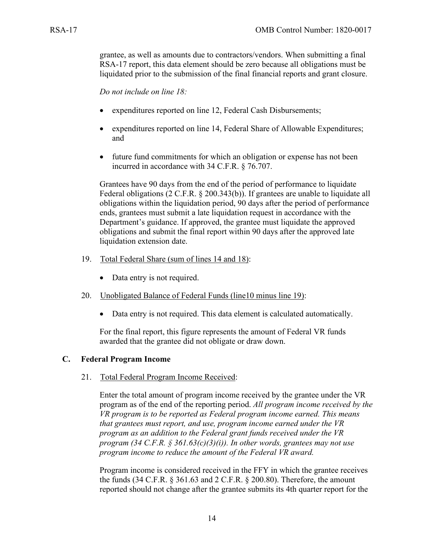grantee, as well as amounts due to contractors/vendors. When submitting a final RSA-17 report, this data element should be zero because all obligations must be liquidated prior to the submission of the final financial reports and grant closure.

*Do not include on line 18:*

- expenditures reported on line 12, Federal Cash Disbursements;
- expenditures reported on line 14, Federal Share of Allowable Expenditures; and
- future fund commitments for which an obligation or expense has not been incurred in accordance with 34 C.F.R. § 76.707.

Grantees have 90 days from the end of the period of performance to liquidate Federal obligations (2 C.F.R. § 200.343(b)). If grantees are unable to liquidate all obligations within the liquidation period, 90 days after the period of performance ends, grantees must submit a late liquidation request in accordance with the Department's guidance. If approved, the grantee must liquidate the approved obligations and submit the final report within 90 days after the approved late liquidation extension date.

- 19. Total Federal Share (sum of lines 14 and 18):
	- Data entry is not required.
- 20. Unobligated Balance of Federal Funds (line10 minus line 19):
	- Data entry is not required. This data element is calculated automatically.

For the final report, this figure represents the amount of Federal VR funds awarded that the grantee did not obligate or draw down.

#### **C. Federal Program Income**

21. Total Federal Program Income Received:

Enter the total amount of program income received by the grantee under the VR program as of the end of the reporting period. *All program income received by the VR program is to be reported as Federal program income earned. This means that grantees must report, and use, program income earned under the VR program as an addition to the Federal grant funds received under the VR program (34 C.F.R. § 361.63(c)(3)(i)). In other words, grantees may not use program income to reduce the amount of the Federal VR award.* 

Program income is considered received in the FFY in which the grantee receives the funds (34 C.F.R. § 361.63 and 2 C.F.R. § 200.80). Therefore, the amount reported should not change after the grantee submits its 4th quarter report for the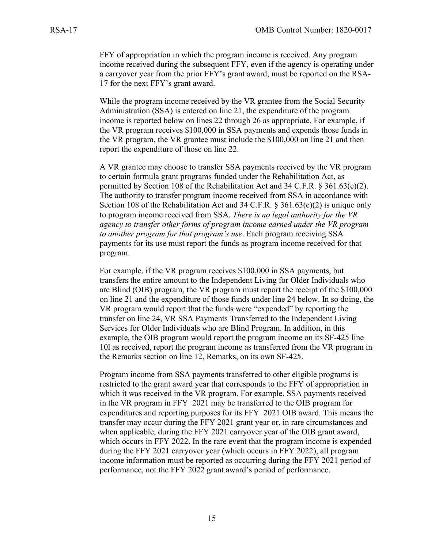FFY of appropriation in which the program income is received. Any program income received during the subsequent FFY, even if the agency is operating under a carryover year from the prior FFY's grant award, must be reported on the RSA-17 for the next FFY's grant award.

While the program income received by the VR grantee from the Social Security Administration (SSA) is entered on line 21, the expenditure of the program income is reported below on lines 22 through 26 as appropriate. For example, if the VR program receives \$100,000 in SSA payments and expends those funds in the VR program, the VR grantee must include the \$100,000 on line 21 and then report the expenditure of those on line 22.

A VR grantee may choose to transfer SSA payments received by the VR program to certain formula grant programs funded under the Rehabilitation Act, as permitted by Section 108 of the Rehabilitation Act and 34 C.F.R.  $\S$  361.63(c)(2). The authority to transfer program income received from SSA in accordance with Section 108 of the Rehabilitation Act and 34 C.F.R. § 361.63(c)(2) is unique only to program income received from SSA. *There is no legal authority for the VR agency to transfer other forms of program income earned under the VR program to another program for that program's use*. Each program receiving SSA payments for its use must report the funds as program income received for that program.

For example, if the VR program receives \$100,000 in SSA payments, but transfers the entire amount to the Independent Living for Older Individuals who are Blind (OIB) program, the VR program must report the receipt of the \$100,000 on line 21 and the expenditure of those funds under line 24 below. In so doing, the VR program would report that the funds were "expended" by reporting the transfer on line 24, VR SSA Payments Transferred to the Independent Living Services for Older Individuals who are Blind Program. In addition, in this example, the OIB program would report the program income on its SF-425 line 10l as received, report the program income as transferred from the VR program in the Remarks section on line 12, Remarks, on its own SF-425.

Program income from SSA payments transferred to other eligible programs is restricted to the grant award year that corresponds to the FFY of appropriation in which it was received in the VR program. For example, SSA payments received in the VR program in FFY 2021 may be transferred to the OIB program for expenditures and reporting purposes for its FFY 2021 OIB award. This means the transfer may occur during the FFY 2021 grant year or, in rare circumstances and when applicable, during the FFY 2021 carryover year of the OIB grant award, which occurs in FFY 2022. In the rare event that the program income is expended during the FFY 2021 carryover year (which occurs in FFY 2022), all program income information must be reported as occurring during the FFY 2021 period of performance, not the FFY 2022 grant award's period of performance.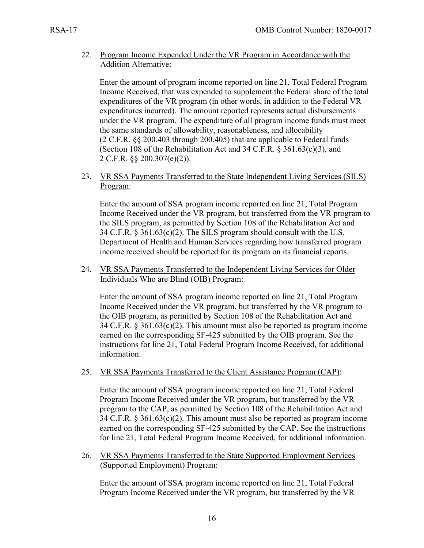22. Program Income Expended Under the VR Program in Accordance with the Addition Alternative:

Enter the amount of program income reported on line 21, Total Federal Program Income Received, that was expended to supplement the Federal share of the total expenditures of the VR program (in other words, in addition to the Federal VR expenditures incurred). The amount reported represents actual disbursements under the VR program. The expenditure of all program income funds must meet the same standards of allowability, reasonableness, and allocability (2 C.F.R. §§ 200.403 through 200.405) that are applicable to Federal funds (Section 108 of the Rehabilitation Act and 34 C.F.R. § 361.63(c)(3), and 2 C.F.R. §§ 200.307(e)(2)).

23. VR SSA Payments Transferred to the State Independent Living Services (SILS) Program:

Enter the amount of SSA program income reported on line 21, Total Program Income Received under the VR program, but transferred from the VR program to the SILS program, as permitted by Section 108 of the Rehabilitation Act and 34 C.F.R. § 361.63(c)(2). The SILS program should consult with the U.S. Department of Health and Human Services regarding how transferred program income received should be reported for its program on its financial reports.

24. VR SSA Payments Transferred to the Independent Living Services for Older Individuals Who are Blind (OIB) Program:

Enter the amount of SSA program income reported on line 21, Total Program Income Received under the VR program, but transferred by the VR program to the OIB program, as permitted by Section 108 of the Rehabilitation Act and 34 C.F.R. § 361.63(c)(2). This amount must also be reported as program income earned on the corresponding SF-425 submitted by the OIB program. See the instructions for line 21, Total Federal Program Income Received, for additional information.

25. VR SSA Payments Transferred to the Client Assistance Program (CAP):

Enter the amount of SSA program income reported on line 21, Total Federal Program Income Received under the VR program, but transferred by the VR program to the CAP, as permitted by Section 108 of the Rehabilitation Act and 34 C.F.R. § 361.63(c)(2). This amount must also be reported as program income earned on the corresponding SF-425 submitted by the CAP. See the instructions for line 21, Total Federal Program Income Received, for additional information.

26. VR SSA Payments Transferred to the State Supported Employment Services (Supported Employment) Program:

Enter the amount of SSA program income reported on line 21, Total Federal Program Income Received under the VR program, but transferred by the VR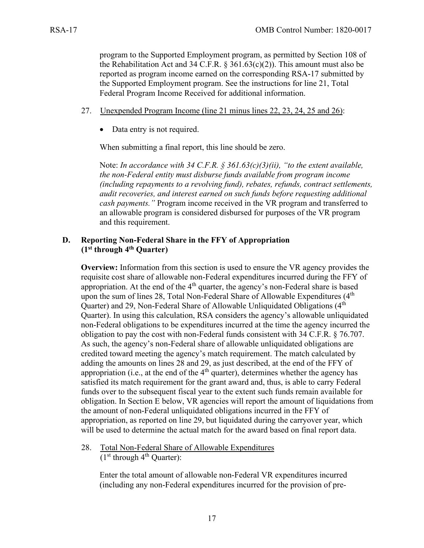program to the Supported Employment program, as permitted by Section 108 of the Rehabilitation Act and 34 C.F.R.  $\S$  361.63(c)(2)). This amount must also be reported as program income earned on the corresponding RSA-17 submitted by the Supported Employment program. See the instructions for line 21, Total Federal Program Income Received for additional information.

- 27. Unexpended Program Income (line 21 minus lines 22, 23, 24, 25 and 26):
	- Data entry is not required.

When submitting a final report, this line should be zero.

Note: *In accordance with 34 C.F.R. § 361.63(c)(3)(ii), "to the extent available, the non-Federal entity must disburse funds available from program income (including repayments to a revolving fund), rebates, refunds, contract settlements, audit recoveries, and interest earned on such funds before requesting additional cash payments."* Program income received in the VR program and transferred to an allowable program is considered disbursed for purposes of the VR program and this requirement.

#### **D. Reporting Non-Federal Share in the FFY of Appropriation (1st through 4th Quarter)**

**Overview:** Information from this section is used to ensure the VR agency provides the requisite cost share of allowable non-Federal expenditures incurred during the FFY of appropriation. At the end of the  $4<sup>th</sup>$  quarter, the agency's non-Federal share is based upon the sum of lines 28, Total Non-Federal Share of Allowable Expenditures (4<sup>th</sup> Quarter) and 29, Non-Federal Share of Allowable Unliquidated Obligations (4<sup>th</sup>) Quarter). In using this calculation, RSA considers the agency's allowable unliquidated non-Federal obligations to be expenditures incurred at the time the agency incurred the obligation to pay the cost with non-Federal funds consistent with 34 C.F.R. § 76.707. As such, the agency's non-Federal share of allowable unliquidated obligations are credited toward meeting the agency's match requirement. The match calculated by adding the amounts on lines 28 and 29, as just described, at the end of the FFY of appropriation (i.e., at the end of the  $4<sup>th</sup>$  quarter), determines whether the agency has satisfied its match requirement for the grant award and, thus, is able to carry Federal funds over to the subsequent fiscal year to the extent such funds remain available for obligation. In Section E below, VR agencies will report the amount of liquidations from the amount of non-Federal unliquidated obligations incurred in the FFY of appropriation, as reported on line 29, but liquidated during the carryover year, which will be used to determine the actual match for the award based on final report data.

28. Total Non-Federal Share of Allowable Expenditures  $(1<sup>st</sup>$  through  $4<sup>th</sup>$  Quarter):

Enter the total amount of allowable non-Federal VR expenditures incurred (including any non-Federal expenditures incurred for the provision of pre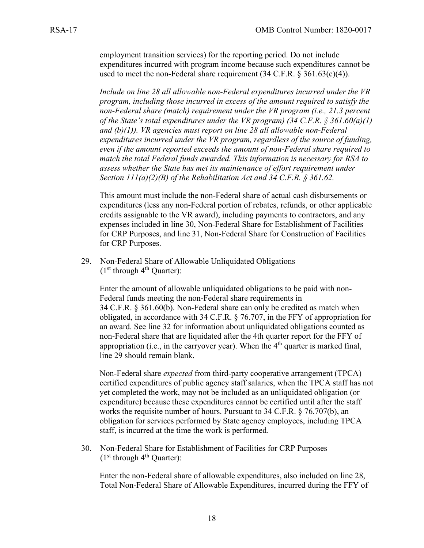employment transition services) for the reporting period. Do not include expenditures incurred with program income because such expenditures cannot be used to meet the non-Federal share requirement  $(34 \text{ C.F.R.} \S 361.63(c)(4))$ .

*Include on line 28 all allowable non-Federal expenditures incurred under the VR program, including those incurred in excess of the amount required to satisfy the non-Federal share (match) requirement under the VR program (i.e., 21.3 percent of the State's total expenditures under the VR program) (34 C.F.R. § 361.60(a)(1) and (b)(1)). VR agencies must report on line 28 all allowable non-Federal expenditures incurred under the VR program, regardless of the source of funding, even if the amount reported exceeds the amount of non-Federal share required to match the total Federal funds awarded. This information is necessary for RSA to assess whether the State has met its maintenance of effort requirement under Section 111(a)(2)(B) of the Rehabilitation Act and 34 C.F.R. § 361.62.*

This amount must include the non-Federal share of actual cash disbursements or expenditures (less any non-Federal portion of rebates, refunds, or other applicable credits assignable to the VR award), including payments to contractors, and any expenses included in line 30, Non-Federal Share for Establishment of Facilities for CRP Purposes, and line 31, Non-Federal Share for Construction of Facilities for CRP Purposes.

29. Non-Federal Share of Allowable Unliquidated Obligations  $(1<sup>st</sup>$  through  $4<sup>th</sup>$  Quarter):

Enter the amount of allowable unliquidated obligations to be paid with non-Federal funds meeting the non-Federal share requirements in 34 C.F.R. § 361.60(b). Non-Federal share can only be credited as match when obligated, in accordance with 34 C.F.R. § 76.707, in the FFY of appropriation for an award. See line 32 for information about unliquidated obligations counted as non-Federal share that are liquidated after the 4th quarter report for the FFY of appropriation (i.e., in the carryover year). When the  $4<sup>th</sup>$  quarter is marked final, line 29 should remain blank.

Non-Federal share *expected* from third-party cooperative arrangement (TPCA) certified expenditures of public agency staff salaries, when the TPCA staff has not yet completed the work, may not be included as an unliquidated obligation (or expenditure) because these expenditures cannot be certified until after the staff works the requisite number of hours. Pursuant to 34 C.F.R. § 76.707(b), an obligation for services performed by State agency employees, including TPCA staff, is incurred at the time the work is performed.

30. Non-Federal Share for Establishment of Facilities for CRP Purposes  $(1<sup>st</sup>$  through  $4<sup>th</sup>$  Quarter):

Enter the non-Federal share of allowable expenditures, also included on line 28, Total Non-Federal Share of Allowable Expenditures, incurred during the FFY of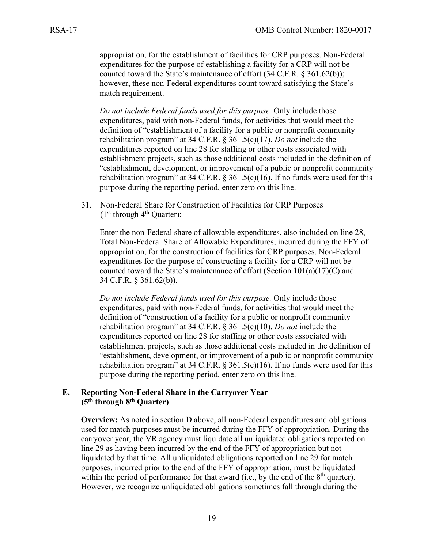appropriation, for the establishment of facilities for CRP purposes. Non-Federal expenditures for the purpose of establishing a facility for a CRP will not be counted toward the State's maintenance of effort (34 C.F.R. § 361.62(b)); however, these non-Federal expenditures count toward satisfying the State's match requirement.

*Do not include Federal funds used for this purpose.* Only include those expenditures, paid with non-Federal funds, for activities that would meet the definition of "establishment of a facility for a public or nonprofit community rehabilitation program" at 34 C.F.R. § 361.5(c)(17). *Do not* include the expenditures reported on line 28 for staffing or other costs associated with establishment projects, such as those additional costs included in the definition of "establishment, development, or improvement of a public or nonprofit community rehabilitation program" at 34 C.F.R.  $\S$  361.5(c)(16). If no funds were used for this purpose during the reporting period, enter zero on this line.

31. Non-Federal Share for Construction of Facilities for CRP Purposes  $(1<sup>st</sup>$  through  $4<sup>th</sup>$  Quarter):

Enter the non-Federal share of allowable expenditures, also included on line 28, Total Non-Federal Share of Allowable Expenditures, incurred during the FFY of appropriation, for the construction of facilities for CRP purposes. Non-Federal expenditures for the purpose of constructing a facility for a CRP will not be counted toward the State's maintenance of effort (Section 101(a)(17)(C) and 34 C.F.R. § 361.62(b)).

*Do not include Federal funds used for this purpose.* Only include those expenditures, paid with non-Federal funds, for activities that would meet the definition of "construction of a facility for a public or nonprofit community rehabilitation program" at 34 C.F.R. § 361.5(c)(10). *Do not* include the expenditures reported on line 28 for staffing or other costs associated with establishment projects, such as those additional costs included in the definition of "establishment, development, or improvement of a public or nonprofit community rehabilitation program" at 34 C.F.R.  $\S$  361.5(c)(16). If no funds were used for this purpose during the reporting period, enter zero on this line.

### **E. Reporting Non-Federal Share in the Carryover Year (5th through 8th Quarter)**

**Overview:** As noted in section D above, all non-Federal expenditures and obligations used for match purposes must be incurred during the FFY of appropriation. During the carryover year, the VR agency must liquidate all unliquidated obligations reported on line 29 as having been incurred by the end of the FFY of appropriation but not liquidated by that time. All unliquidated obligations reported on line 29 for match purposes, incurred prior to the end of the FFY of appropriation, must be liquidated within the period of performance for that award (i.e., by the end of the  $8<sup>th</sup>$  quarter). However, we recognize unliquidated obligations sometimes fall through during the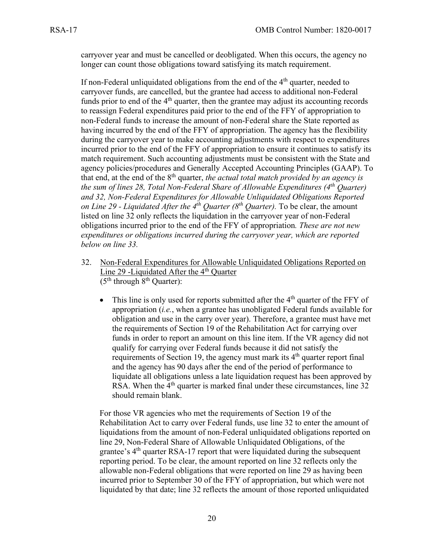carryover year and must be cancelled or deobligated. When this occurs, the agency no longer can count those obligations toward satisfying its match requirement.

If non-Federal unliquidated obligations from the end of the  $4<sup>th</sup>$  quarter, needed to carryover funds, are cancelled, but the grantee had access to additional non-Federal funds prior to end of the  $4<sup>th</sup>$  quarter, then the grantee may adjust its accounting records to reassign Federal expenditures paid prior to the end of the FFY of appropriation to non-Federal funds to increase the amount of non-Federal share the State reported as having incurred by the end of the FFY of appropriation. The agency has the flexibility during the carryover year to make accounting adjustments with respect to expenditures incurred prior to the end of the FFY of appropriation to ensure it continues to satisfy its match requirement. Such accounting adjustments must be consistent with the State and agency policies/procedures and Generally Accepted Accounting Principles (GAAP). To that end, at the end of the 8<sup>th</sup> quarter, *the actual total match provided by an agency is the sum of lines 28, Total Non-Federal Share of Allowable Expenditures (4th Quarter) and 32, Non-Federal Expenditures for Allowable Unliquidated Obligations Reported on Line 29 - Liquidated After the 4th Quarter (8th Quarter).* To be clear, the amount listed on line 32 only reflects the liquidation in the carryover year of non-Federal obligations incurred prior to the end of the FFY of appropriation*. These are not new expenditures or obligations incurred during the carryover year, which are reported below on line 33.*

- 32. Non-Federal Expenditures for Allowable Unliquidated Obligations Reported on Line 29 -Liquidated After the 4<sup>th</sup> Quarter  $(5<sup>th</sup>$  through  $8<sup>th</sup>$  Quarter):
	- This line is only used for reports submitted after the 4<sup>th</sup> quarter of the FFY of appropriation (*i.e.*, when a grantee has unobligated Federal funds available for obligation and use in the carry over year). Therefore, a grantee must have met the requirements of Section 19 of the Rehabilitation Act for carrying over funds in order to report an amount on this line item. If the VR agency did not qualify for carrying over Federal funds because it did not satisfy the requirements of Section 19, the agency must mark its 4<sup>th</sup> quarter report final and the agency has 90 days after the end of the period of performance to liquidate all obligations unless a late liquidation request has been approved by RSA. When the  $4<sup>th</sup>$  quarter is marked final under these circumstances, line 32 should remain blank.

For those VR agencies who met the requirements of Section 19 of the Rehabilitation Act to carry over Federal funds, use line 32 to enter the amount of liquidations from the amount of non-Federal unliquidated obligations reported on line 29, Non-Federal Share of Allowable Unliquidated Obligations, of the grantee's  $4<sup>th</sup>$  quarter RSA-17 report that were liquidated during the subsequent reporting period. To be clear, the amount reported on line 32 reflects only the allowable non-Federal obligations that were reported on line 29 as having been incurred prior to September 30 of the FFY of appropriation, but which were not liquidated by that date; line 32 reflects the amount of those reported unliquidated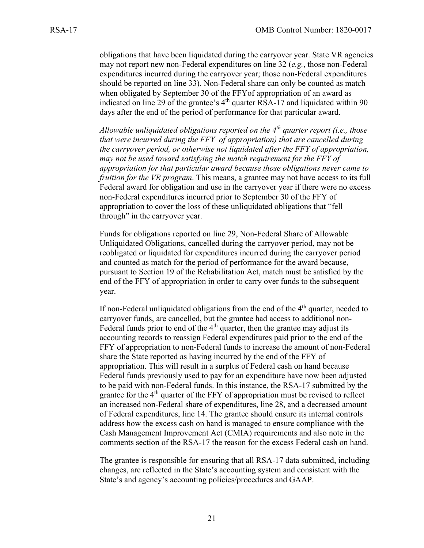obligations that have been liquidated during the carryover year. State VR agencies may not report new non-Federal expenditures on line 32 (*e.g.*, those non-Federal expenditures incurred during the carryover year; those non-Federal expenditures should be reported on line 33). Non-Federal share can only be counted as match when obligated by September 30 of the FFYof appropriation of an award as indicated on line 29 of the grantee's  $4<sup>th</sup>$  quarter RSA-17 and liquidated within 90 days after the end of the period of performance for that particular award.

*Allowable unliquidated obligations reported on the 4th quarter report (i.e., those that were incurred during the FFY of appropriation) that are cancelled during the carryover period, or otherwise not liquidated after the FFY of appropriation, may not be used toward satisfying the match requirement for the FFY of appropriation for that particular award because those obligations never came to fruition for the VR program*. This means, a grantee may not have access to its full Federal award for obligation and use in the carryover year if there were no excess non-Federal expenditures incurred prior to September 30 of the FFY of appropriation to cover the loss of these unliquidated obligations that "fell through" in the carryover year.

Funds for obligations reported on line 29, Non-Federal Share of Allowable Unliquidated Obligations, cancelled during the carryover period, may not be reobligated or liquidated for expenditures incurred during the carryover period and counted as match for the period of performance for the award because, pursuant to Section 19 of the Rehabilitation Act, match must be satisfied by the end of the FFY of appropriation in order to carry over funds to the subsequent year.

If non-Federal unliquidated obligations from the end of the  $4<sup>th</sup>$  quarter, needed to carryover funds, are cancelled, but the grantee had access to additional non-Federal funds prior to end of the  $4<sup>th</sup>$  quarter, then the grantee may adjust its accounting records to reassign Federal expenditures paid prior to the end of the FFY of appropriation to non-Federal funds to increase the amount of non-Federal share the State reported as having incurred by the end of the FFY of appropriation. This will result in a surplus of Federal cash on hand because Federal funds previously used to pay for an expenditure have now been adjusted to be paid with non-Federal funds. In this instance, the RSA-17 submitted by the grantee for the  $4<sup>th</sup>$  quarter of the FFY of appropriation must be revised to reflect an increased non-Federal share of expenditures, line 28, and a decreased amount of Federal expenditures, line 14. The grantee should ensure its internal controls address how the excess cash on hand is managed to ensure compliance with the Cash Management Improvement Act (CMIA) requirements and also note in the comments section of the RSA-17 the reason for the excess Federal cash on hand.

The grantee is responsible for ensuring that all RSA-17 data submitted, including changes, are reflected in the State's accounting system and consistent with the State's and agency's accounting policies/procedures and GAAP.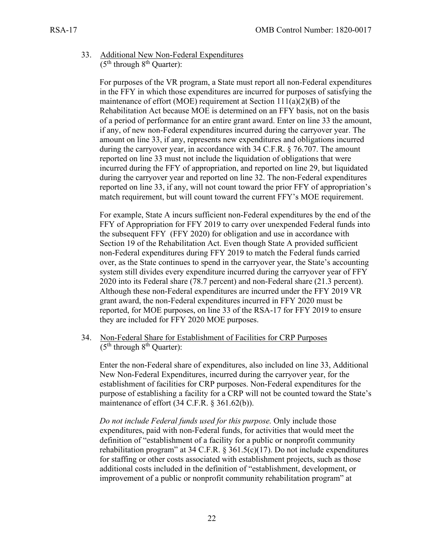33. Additional New Non-Federal Expenditures  $(5<sup>th</sup>$  through  $8<sup>th</sup>$  Quarter):

> For purposes of the VR program, a State must report all non-Federal expenditures in the FFY in which those expenditures are incurred for purposes of satisfying the maintenance of effort (MOE) requirement at Section  $111(a)(2)(B)$  of the Rehabilitation Act because MOE is determined on an FFY basis, not on the basis of a period of performance for an entire grant award. Enter on line 33 the amount, if any, of new non-Federal expenditures incurred during the carryover year. The amount on line 33, if any, represents new expenditures and obligations incurred during the carryover year, in accordance with 34 C.F.R. § 76.707. The amount reported on line 33 must not include the liquidation of obligations that were incurred during the FFY of appropriation, and reported on line 29, but liquidated during the carryover year and reported on line 32. The non-Federal expenditures reported on line 33, if any, will not count toward the prior FFY of appropriation's match requirement, but will count toward the current FFY's MOE requirement.

> For example, State A incurs sufficient non-Federal expenditures by the end of the FFY of Appropriation for FFY 2019 to carry over unexpended Federal funds into the subsequent FFY (FFY 2020) for obligation and use in accordance with Section 19 of the Rehabilitation Act. Even though State A provided sufficient non-Federal expenditures during FFY 2019 to match the Federal funds carried over, as the State continues to spend in the carryover year, the State's accounting system still divides every expenditure incurred during the carryover year of FFY 2020 into its Federal share (78.7 percent) and non-Federal share (21.3 percent). Although these non-Federal expenditures are incurred under the FFY 2019 VR grant award, the non-Federal expenditures incurred in FFY 2020 must be reported, for MOE purposes, on line 33 of the RSA-17 for FFY 2019 to ensure they are included for FFY 2020 MOE purposes.

34. Non-Federal Share for Establishment of Facilities for CRP Purposes  $(5<sup>th</sup>$  through  $8<sup>th</sup>$  Quarter):

Enter the non-Federal share of expenditures, also included on line 33, Additional New Non-Federal Expenditures, incurred during the carryover year, for the establishment of facilities for CRP purposes. Non-Federal expenditures for the purpose of establishing a facility for a CRP will not be counted toward the State's maintenance of effort (34 C.F.R. § 361.62(b)).

*Do not include Federal funds used for this purpose.* Only include those expenditures, paid with non-Federal funds, for activities that would meet the definition of "establishment of a facility for a public or nonprofit community rehabilitation program" at 34 C.F.R.  $\S$  361.5(c)(17). Do not include expenditures for staffing or other costs associated with establishment projects, such as those additional costs included in the definition of "establishment, development, or improvement of a public or nonprofit community rehabilitation program" at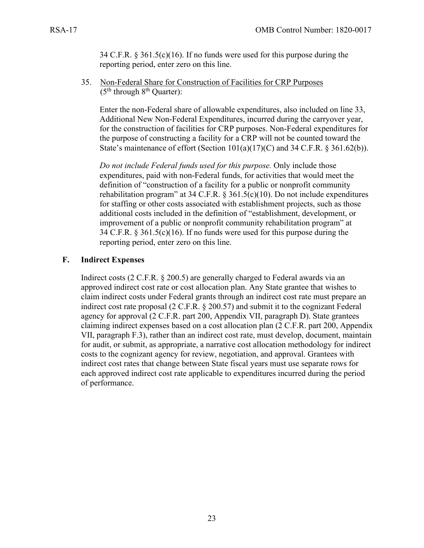34 C.F.R. § 361.5(c)(16). If no funds were used for this purpose during the reporting period, enter zero on this line.

35. Non-Federal Share for Construction of Facilities for CRP Purposes  $(5<sup>th</sup>$  through  $8<sup>th</sup>$  Quarter):

Enter the non-Federal share of allowable expenditures, also included on line 33, Additional New Non-Federal Expenditures, incurred during the carryover year, for the construction of facilities for CRP purposes. Non-Federal expenditures for the purpose of constructing a facility for a CRP will not be counted toward the State's maintenance of effort (Section  $101(a)(17)(C)$  and 34 C.F.R. § 361.62(b)).

*Do not include Federal funds used for this purpose.* Only include those expenditures, paid with non-Federal funds, for activities that would meet the definition of "construction of a facility for a public or nonprofit community rehabilitation program" at 34 C.F.R. § 361.5(c)(10). Do not include expenditures for staffing or other costs associated with establishment projects, such as those additional costs included in the definition of "establishment, development, or improvement of a public or nonprofit community rehabilitation program" at 34 C.F.R. § 361.5(c)(16). If no funds were used for this purpose during the reporting period, enter zero on this line.

### **F. Indirect Expenses**

Indirect costs (2 C.F.R. § 200.5) are generally charged to Federal awards via an approved indirect cost rate or cost allocation plan. Any State grantee that wishes to claim indirect costs under Federal grants through an indirect cost rate must prepare an indirect cost rate proposal (2 C.F.R. § 200.57) and submit it to the cognizant Federal agency for approval (2 C.F.R. part 200, Appendix VII, paragraph D). State grantees claiming indirect expenses based on a cost allocation plan (2 C.F.R. part 200, Appendix VII, paragraph F.3), rather than an indirect cost rate, must develop, document, maintain for audit, or submit, as appropriate, a narrative cost allocation methodology for indirect costs to the cognizant agency for review, negotiation, and approval. Grantees with indirect cost rates that change between State fiscal years must use separate rows for each approved indirect cost rate applicable to expenditures incurred during the period of performance.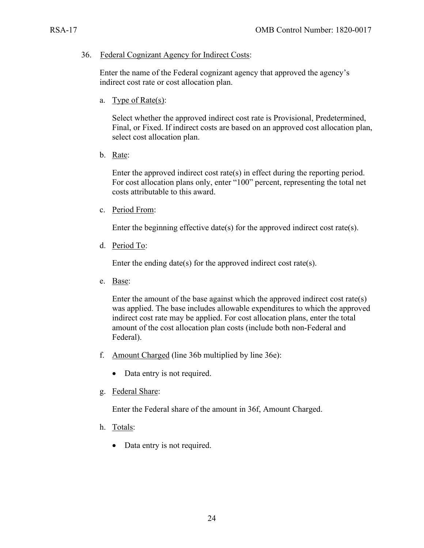#### 36. Federal Cognizant Agency for Indirect Costs:

Enter the name of the Federal cognizant agency that approved the agency's indirect cost rate or cost allocation plan.

a. Type of Rate(s):

Select whether the approved indirect cost rate is Provisional, Predetermined, Final, or Fixed. If indirect costs are based on an approved cost allocation plan, select cost allocation plan.

b. Rate:

Enter the approved indirect cost rate(s) in effect during the reporting period. For cost allocation plans only, enter "100" percent, representing the total net costs attributable to this award.

c. Period From:

Enter the beginning effective date(s) for the approved indirect cost rate(s).

d. Period To:

Enter the ending date(s) for the approved indirect cost rate(s).

e. Base:

Enter the amount of the base against which the approved indirect cost rate(s) was applied. The base includes allowable expenditures to which the approved indirect cost rate may be applied. For cost allocation plans, enter the total amount of the cost allocation plan costs (include both non-Federal and Federal).

- f. Amount Charged (line 36b multiplied by line 36e):
	- Data entry is not required.
- g. Federal Share:

Enter the Federal share of the amount in 36f, Amount Charged.

- h. Totals:
	- Data entry is not required.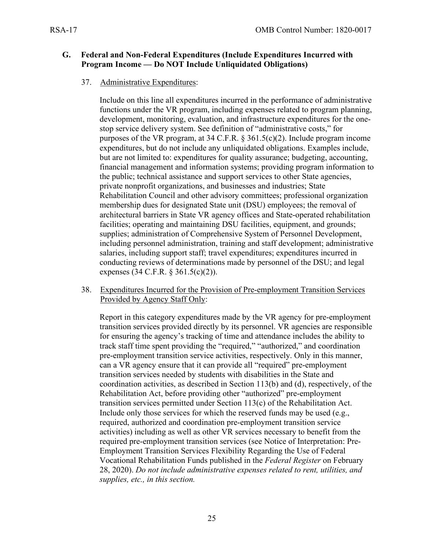### **G. Federal and Non-Federal Expenditures (Include Expenditures Incurred with Program Income — Do NOT Include Unliquidated Obligations)**

### 37. Administrative Expenditures:

Include on this line all expenditures incurred in the performance of administrative functions under the VR program, including expenses related to program planning, development, monitoring, evaluation, and infrastructure expenditures for the onestop service delivery system. See definition of "administrative costs," for purposes of the VR program, at 34 C.F.R. § 361.5(c)(2). Include program income expenditures, but do not include any unliquidated obligations. Examples include, but are not limited to: expenditures for quality assurance; budgeting, accounting, financial management and information systems; providing program information to the public; technical assistance and support services to other State agencies, private nonprofit organizations, and businesses and industries; State Rehabilitation Council and other advisory committees; professional organization membership dues for designated State unit (DSU) employees; the removal of architectural barriers in State VR agency offices and State-operated rehabilitation facilities; operating and maintaining DSU facilities, equipment, and grounds; supplies; administration of Comprehensive System of Personnel Development, including personnel administration, training and staff development; administrative salaries, including support staff; travel expenditures; expenditures incurred in conducting reviews of determinations made by personnel of the DSU; and legal expenses (34 C.F.R. § 361.5(c)(2)).

#### 38. Expenditures Incurred for the Provision of Pre-employment Transition Services Provided by Agency Staff Only:

Report in this category expenditures made by the VR agency for pre-employment transition services provided directly by its personnel. VR agencies are responsible for ensuring the agency's tracking of time and attendance includes the ability to track staff time spent providing the "required," "authorized," and coordination pre-employment transition service activities, respectively. Only in this manner, can a VR agency ensure that it can provide all "required" pre-employment transition services needed by students with disabilities in the State and coordination activities, as described in Section 113(b) and (d), respectively, of the Rehabilitation Act, before providing other "authorized" pre-employment transition services permitted under Section 113(c) of the Rehabilitation Act. Include only those services for which the reserved funds may be used (e.g., required, authorized and coordination pre-employment transition service activities) including as well as other VR services necessary to benefit from the required pre-employment transition services (see Notice of Interpretation: Pre-Employment Transition Services Flexibility Regarding the Use of Federal Vocational Rehabilitation Funds published in the *Federal Register* on February 28, 2020). *Do not include administrative expenses related to rent, utilities, and supplies, etc., in this section.*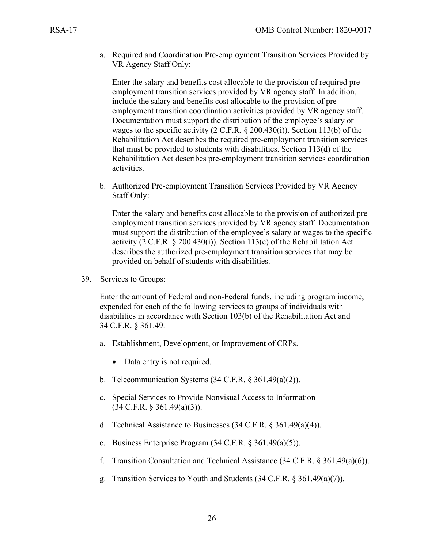a. Required and Coordination Pre-employment Transition Services Provided by VR Agency Staff Only:

Enter the salary and benefits cost allocable to the provision of required preemployment transition services provided by VR agency staff. In addition, include the salary and benefits cost allocable to the provision of preemployment transition coordination activities provided by VR agency staff. Documentation must support the distribution of the employee's salary or wages to the specific activity (2 C.F.R. § 200.430(i)). Section 113(b) of the Rehabilitation Act describes the required pre-employment transition services that must be provided to students with disabilities. Section 113(d) of the Rehabilitation Act describes pre-employment transition services coordination activities.

b. Authorized Pre-employment Transition Services Provided by VR Agency Staff Only:

Enter the salary and benefits cost allocable to the provision of authorized preemployment transition services provided by VR agency staff. Documentation must support the distribution of the employee's salary or wages to the specific activity (2 C.F.R. § 200.430(i)). Section 113(c) of the Rehabilitation Act describes the authorized pre-employment transition services that may be provided on behalf of students with disabilities.

39. Services to Groups:

Enter the amount of Federal and non-Federal funds, including program income, expended for each of the following services to groups of individuals with disabilities in accordance with Section 103(b) of the Rehabilitation Act and 34 C.F.R. § 361.49.

- a. Establishment, Development, or Improvement of CRPs.
	- Data entry is not required.
- b. Telecommunication Systems (34 C.F.R. § 361.49(a)(2)).
- c. Special Services to Provide Nonvisual Access to Information (34 C.F.R. § 361.49(a)(3)).
- d. Technical Assistance to Businesses (34 C.F.R. § 361.49(a)(4)).
- e. Business Enterprise Program (34 C.F.R. § 361.49(a)(5)).
- f. Transition Consultation and Technical Assistance (34 C.F.R. § 361.49(a)(6)).
- g. Transition Services to Youth and Students (34 C.F.R. § 361.49(a)(7)).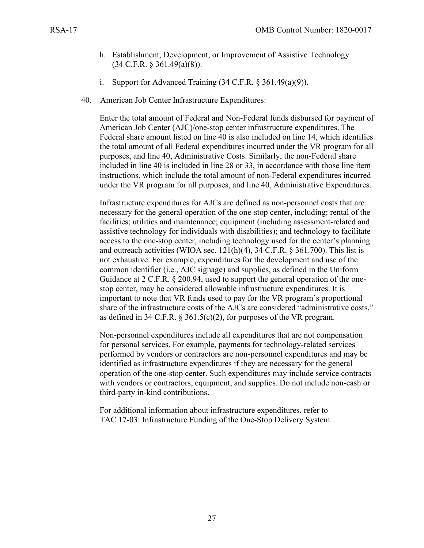- h. Establishment, Development, or Improvement of Assistive Technology (34 C.F.R. § 361.49(a)(8)).
- i. Support for Advanced Training (34 C.F.R. § 361.49(a)(9)).
- 40. American Job Center Infrastructure Expenditures:

Enter the total amount of Federal and Non-Federal funds disbursed for payment of American Job Center (AJC)/one-stop center infrastructure expenditures. The Federal share amount listed on line 40 is also included on line 14, which identifies the total amount of all Federal expenditures incurred under the VR program for all purposes, and line 40, Administrative Costs. Similarly, the non-Federal share included in line 40 is included in line 28 or 33, in accordance with those line item instructions, which include the total amount of non-Federal expenditures incurred under the VR program for all purposes, and line 40, Administrative Expenditures.

Infrastructure expenditures for AJCs are defined as non-personnel costs that are necessary for the general operation of the one-stop center, including: rental of the facilities; utilities and maintenance; equipment (including assessment-related and assistive technology for individuals with disabilities); and technology to facilitate access to the one-stop center, including technology used for the center's planning and outreach activities (WIOA sec.  $121(h)(4)$ , 34 C.F.R. § 361.700). This list is not exhaustive. For example, expenditures for the development and use of the common identifier (i.e., AJC signage) and supplies, as defined in the Uniform Guidance at 2 C.F.R. § 200.94, used to support the general operation of the onestop center, may be considered allowable infrastructure expenditures. It is important to note that VR funds used to pay for the VR program's proportional share of the infrastructure costs of the AJCs are considered "administrative costs," as defined in 34 C.F.R. § 361.5(c)(2), for purposes of the VR program.

Non-personnel expenditures include all expenditures that are not compensation for personal services. For example, payments for technology-related services performed by vendors or contractors are non-personnel expenditures and may be identified as infrastructure expenditures if they are necessary for the general operation of the one-stop center. Such expenditures may include service contracts with vendors or contractors, equipment, and supplies. Do not include non-cash or third-party in-kind contributions.

For additional information about infrastructure expenditures, refer to TAC 17-03: Infrastructure Funding of the One-Stop Delivery System.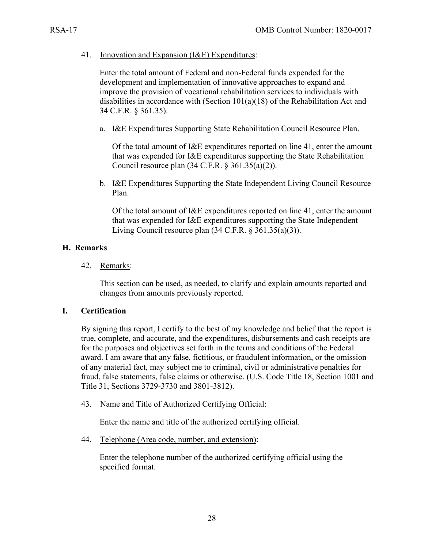41. Innovation and Expansion (I&E) Expenditures:

Enter the total amount of Federal and non-Federal funds expended for the development and implementation of innovative approaches to expand and improve the provision of vocational rehabilitation services to individuals with disabilities in accordance with (Section 101(a)(18) of the Rehabilitation Act and 34 C.F.R. § 361.35).

a. I&E Expenditures Supporting State Rehabilitation Council Resource Plan.

Of the total amount of I&E expenditures reported on line 41, enter the amount that was expended for I&E expenditures supporting the State Rehabilitation Council resource plan (34 C.F.R. § 361.35(a)(2)).

b. I&E Expenditures Supporting the State Independent Living Council Resource Plan.

Of the total amount of I&E expenditures reported on line 41, enter the amount that was expended for I&E expenditures supporting the State Independent Living Council resource plan  $(34 \text{ C.F.R. } 8 \text{ 361.35(a)(3)}).$ 

## **H. Remarks**

## 42. Remarks:

This section can be used, as needed, to clarify and explain amounts reported and changes from amounts previously reported.

## **I. Certification**

By signing this report, I certify to the best of my knowledge and belief that the report is true, complete, and accurate, and the expenditures, disbursements and cash receipts are for the purposes and objectives set forth in the terms and conditions of the Federal award. I am aware that any false, fictitious, or fraudulent information, or the omission of any material fact, may subject me to criminal, civil or administrative penalties for fraud, false statements, false claims or otherwise. (U.S. Code Title 18, Section 1001 and Title 31, Sections 3729-3730 and 3801-3812).

43. Name and Title of Authorized Certifying Official:

Enter the name and title of the authorized certifying official.

44. Telephone (Area code, number, and extension):

Enter the telephone number of the authorized certifying official using the specified format.